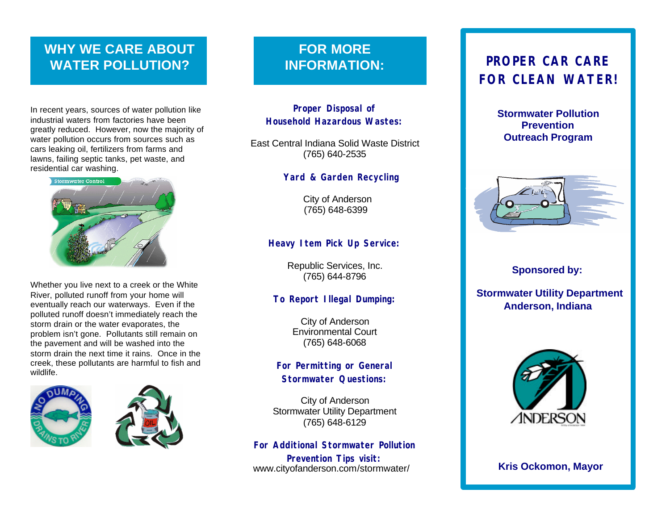# **WHY WE CARE ABOUT WATER POLLUTION?**

In recent years, sources of water pollution like industrial waters from factories have been greatly reduced. However, now the majority of water pollution occurs from sources such as cars leaking oil, fertilizers from farms and lawns, failing septic tanks, pet waste, and residential car washing.



Whether you live next to a creek or the White River, polluted runoff from your home will eventually reach our waterways. Even if the polluted runoff doesn't immediately reach the storm drain or the water evaporates, the problem isn't gone. Pollutants still remain on the pavement and will be washed into the storm drain the next time it rains. Once in the creek, these pollutants are harmful to fish and wildlife.



# **FOR MORE INFORMATION:**

### **Proper Disposal of Household Hazardous Wastes:**

East Central Indiana Solid Waste District (765) 640-2535

### **Yard & Garden Recycling**

City of Anderson (765) 648-6399

### **Heavy Item Pick Up Service:**

Republic Services, Inc. (765) 644-8796

### **To Report Illegal Dumping:**

City of Anderson Environmental Court (765) 648-6068

### **For Permitting or General Stormwater Questions:**

City of Anderson Stormwater Utility Department (765) 648-6129

**For Additional Stormwater Pollution Prevention Tips visit:**  www.cityofanderson.com/stormwater/

# **PROPER CAR CARE FOR CLEAN WATER!**

**Stormwater Pollution Prevention Outreach Program**



### **Sponsored by:**

 **Stormwater Utility Department Anderson, Indiana**



**Kris Ockomon, Mayor**